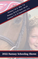

# 2022 Fantasy Schooling Shows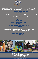

# **2022 Hott Horse Shows Tentative Schedule**

**Fantasy Schooling Show I & II May 7-8, 2022**

**Maffitt Lake Spring Gathering I & II (National H/J) May 11-15 and May 18-22, 2022**

**Mafffitt Lake Dressage Classic I & II (Dressage) June 11-12, 2022**

> **Fantasy Schooling Show III & IV June 18-19, 2022**

**Two Rivers Dressage Classic I & II (Dressage) July 30-31, 2022** 

**Two Rivers Summer Festival I & II (National H/J) August 3-7 and August 10-14, 2022**

> **Fantasy Schooling Show V & VI September 3-4, 2022**



Where Quality Counts

**www.maffittlakeequestriancenter.com**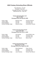# **2022 Fantasy Schooling Show Officials**

Show Manager: Tim Hott Secretary: Libby Hott Dressage Secretary: Anne Sushko Stalls/General Info: Libby Hott

#### **Fantasy Schooling Show I & II May 7-8, 2022 Dressage Entries Due April 29, 2022**

Hunter Judge: Michelle Jones Amserda, Missouri<br>
Jumper Judge: Tim Hott Cumming, Iowa Course Designer: Tim Hott *Cumming, Iowa* Sunday Dressage Judge: Rebecca O'Bea

Fim Hott **Cumming, Iowa**<br>
Tim Hott **Cumming, Iowa** 

#### **Fantasy Schooling Show III & IV June 18-19, 2022 Dressage Entries Due June 10, 2022**

Hunter Judge: The Lisa Gourley Council Bluffs, Iowa<br>Humper Judge: Tim Hott Cumming, Iowa Jumper Judge: Tim Hott Course Designer: Tim Hott *Cumming, Iowa* Sunday Dressage Judge: Eileen Ostlund Boone, Iowa

#### **Fantasy Schooling Show V & VI September 3-4, 2022 Dressage Entries Due August 26, 2022**

Hunter Judge: Robin Brightwell *Paola, Kansas* Course Designer: Tim Hott *Cumming, Iowa* Sunday Dressage Judge: Joyce Hardesty Kansas City, Missouri

**Cumming, Iowa**<br>Cumming, *Iowa*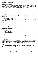# **Rules and Regulations**

#### **FANTASY MEMBERSHIP FEE**

In order to participate in the Fantasy Schooling Horse Shows, you must complete a membership form and submit a \$25 fee. Membership forms are available online and in the horse show office. Year End Awards will be presented to the Hunter/Jumper Divisions and Dressage Levels.

#### **Stabling**

196 permanent stalls are available on a "first entries with checks, first received basis" All stalls are 10 x 12 and have 1/4 swing-out doors with hook closure. It is recommended to bring double end snaps and stall chains. Stalls are \$35 per day or \$90 for Friday through Sunday. Bedding is **NOT** included in the cost of the stall. Stalls are available FRIDAY'S at 12PM, prior to first day of show.

#### **Non-Stabling Fee**

Any horse entered in the horse show, which is not stabled on the show grounds, will be charged a \$25 jump out fee.

#### **Non-Showing Fee/Grounds Fee**

Any horse or pony not entered in the horse show, but on the show grounds to school, will be charged a \$25 grounds fee.

#### **Entry Fees and Entries**

All Hunter/Jumper Class are \$20.00 per class or \$55 per division. Dressage classes are \$25.00 per class. CT Classes are \$40 per class. H/J entries must be submitted by the Friday before each show and Dressage entries are due **ONE WEEK** prior to the show date. **Entries received after the due date will be assessed a \$15 late entry fee. NO FAXED ENTRIES ALLOWED.** All ride times will be posted on the MLEC website at www.maffittlakeequestriancenter.com.

Mail all entries to Libby Hott at MLEC.

*Libby Hott 3297 105th Street Cumming, Iowa 50061*

#### **Non-Negotiable Checks**

Checks returned by the bank for any reason will be assessed a penalty of \$25 or 10% of the check amount, whichever is greater. Upon notification of a returned check, accounts will be given three (3) days to make full payment including the penalty, which must be paid by certified funds, cashier's check, money order or credit card.

#### **Horse Show Office**

The horse show office will be open on competition days one (1 hour prior to the first class of the day and thirty (30 minutes following the last class of the day. On non-competition days, the show office will be open on Friday from 2:00pm-5:00pm. All entries will charged a \$15 medic fee.

#### **Helmets**

**Properly fastened protective headgear which meets or exceeds ASTM/SEI standards for equestrian use and carries the SEI tag are required at all times while mounted at Maffitt Lake Equestrian Center.**

#### **Minors**

Parent(s) or guardian (s) of minor exhibitors shall hold the Horse Show Management and Facility harmless for any injury to such minor. No child's entry will be accepted or number issued unless entry is signed by a parent or LEGAL guardian. The signature of unrelated persons WILL NOT be accepted.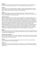#### **Paddocks**

A limited number of paddocks will be available to rent for a weekend fee of \$75. All paddocks will be reserved on a first come first served basis. No more than ONE horse per paddock at a time.

#### **Campers**

A limited amount of on-site camper spaces are available. Campers are \$85 per weekend or \$45 per night. All camper spots require a 50amp plug. Please bring the appropriate adapters if your camper is 30amp. Please contact Libby Hott at 515-306-1140 for arrangements.

#### **Parking**

Horse Trailers and Cars are asked to park in designated areas only. Parking in the Barn Area is STRICTLY PROHIBITED. Horse Vans and Trailers will be allowed in the stable areas only to load and unload. Repeat offenders will be fined and towed.

#### **Liability/Loss/Injury**

Neither the show grounds, show committee or show management or their respective officers will be liable for 1) injuries sustained in any way to exhibitors, spectators, sub contractors or employees; 2) any article of any kind or nature that may be lost, destroyed, stolen or injured in any manner – although precautions will be undertaken to protect the property of the exhibitors; 3) Any loss or damage that may occur to any horse on the grounds. Every horse entered for competition will be under the control of the horse show management. By participating in the show in any way, to include spectator, exhibitor, rider, trainer, agent, or employee or agent of any of the above agree to hold Hott Horse Shows, the Maffitt Lake Equestrian Center, LLC and their officials, harmless for any injury or loss suffered during or in connection with the show whether or not such injury or loss resulted directly or indirectly from the negligent acts or omissions of said officials, directors, employees or agents of the show. It shall be a condition of entry that each exhibitor shall hold this horse show blameless for any loss or accident to his/her horse(s), employee(s) or equipment which may occur from sickness, fire or otherwise.

#### **Bedding**

Shavings are \$10.00 a bag and may be ordered on the entry form or from the horse show office by 3pm on Friday and Saturday of each show. Shavings are **not** included with your stall. Exhibitors are allowed to bring in their own bagged shavings.

#### **Footing & Arena Dimensions**

All show arenas are limestone base with sand. Dimensions: Grand Prix Ring: 250' x 325'; Main Hunter Ring: 140' x 280'; Hunter Ring 2: 140' X 280'; Hunter Ring 3; 140' x 280'; All warm up arenas provide a limestone base with sand footing mixture.

#### **Payment**

All checks need to be made payable to Maffitt Lake Equestrian Center. MLEC does accept Master Card, Visa and Discover for a 3% surcharge fee.

#### **Leash Law**

All dogs must be on a leash or locked up when on show grounds. Any owner whose dog interrupts a competitor's round will be subject to the payment of the class interrupted. Owners of loose dogs will be subject to fines.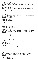## **Hunter Divisions**

Entry Fee: \$20 per class/\$55 per divison Ribbons 1-6 to be awarded in each class as well as Champion and Reserve Champion for each division.

#### **Fantasy Hunter Walk/Trot/Poles**

Open to riders in their first or second year of showing. Jumps to be set with poles on the ground. Under Saddle to be judged at the walk and trot. Fence Height: Poles on the gound

#### **1,2 Fantasy Hunter Walk/Trot Poles**

**3 Fantasy Hunter Walk/Trot U/S**

#### **Beginner Rider Cross Rails**

Open to rider in their first or second year of showing. Jumps to be set with poles on the ground. Under Saddle to be judged at the walk and trot. Fence Height: 18" Cross Rails

**4,5 Beginner Rider Cross Rails**

**6 Beginner Rider Rider U/S**

#### **Training Hunter Cross Rails**

Open to all riders. Jumps to be set as 2' x-rails. Under Saddle to be judged at the walk, trot and canter.

Fence Height: 2' Cross Rails

#### **7,8 Training Hunter Cross Rails**

#### **9 Training Hunter Cross Rails U/S**

#### **Short/Long Stirrup Hunter**

Open to all beginner riders who have not jumped over fences 2'6" or higher. Open to horses and ponies. Jumps to be set as verticals. Under saddle to be judged at the walk, trot and canter. Fence Height: 2'

#### **10,11 Short/Long Stirrup Hunter O/F 12 Short/Long Stirrup Hunter U/S**

#### **Limit Rider**

Open to all riders who have not won six (6) blue ribbons over fences 2'6" or higher in previous years of showing. Open to horses and ponies. Jumps to be set as verticals to oxers and course to be a regular hunter course. Under saddle to be judged at the walk, trot and canter. Fence Height: 2'3"

#### **13,14 Limit Rider O/F**

**15 Limit Rider U/S**

#### **Green Hunter**

Open to all horses and riders in their first two years of showing. Jumps to be set as verticals to oxers and course to be a regular hunter course. Under saddle to be judged at the walk, trot and canter. Fence Height: 2'3"

# **16,17 Green Hunter O/F**

**18 Green Hunter U/S**

#### **Child/Adult Hunter**

Open to all Junior and Amateur Riders. Jumps to be set as verticals to oxers and course to be a regular hunter course. Under saddle to be judged at the walk, trot and canter. Fence Height: 2'6"

**19,20 Child/Adult Hunter O/F**

**21 Child/Adult Hunter U/S**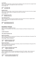#### **Low Hunter**

Open to all riders and horses. Jumps to be set as verticals to oxers and course to be a regular hunter course. Under saddle to be judged at the walk, trot and canter. Fence Height: 2'6"

# **22,23 Low Hunter O/F**

#### **24 Low Hunter U/S**

#### **Modified Hunter**

Open to all horses and riders. Jumps to be set as verticals to oxers and course to be set as a regular hunter course. Under saddle to be judged at the walk, trot and canter. Fence Height: 2'9"

#### **25,26 Modifed Hunter O/F**

#### **27 Modified Hunter U/S**

#### **Open Working Hunter**

Open to all horses. Jumps to be set as verticals to oxers and course to be set as a regular hunter course. Under saddle to be judged at the walk, trot and canter. Fence Height: 3'

# **28,29 Open Working Hunter O/F**

**30 Open Working Hunter U/S**

#### **Equitation Classes**

Entry Fee: \$20 per class/\$55 per divison Ribbons 1-6 to be awarded in each class as well as Champion and Reserve Champion for each division.

#### **Leadline Equitation**

#### **120 Leadline Equitation Flat**

#### **Walk/Trot Equitation**

Open to riders in their first or second year of showing. Jumps to be set with poles on the ground. Flat class to be judged at the walk and trot. Fence Height: Poles on the gound

# **122,123 Walk/Trot Equitation Poles**

#### **124 Walk/Trot Equitation Flat**

#### **Beginner Equitation**

Open to rider in their first or second year of showing. Jumps to be set with poles on the ground. Flat class to be judged at the walk and trot. Fence Height: 18" Cross Rails

#### **125,126 Beginner Equitation Cross Rails 127 Beginner Equitation Flat**

#### **Short/Long Stirrup Equitation**

Open to all beginner riders who have not jumped over fences 2'6" or higher. Open to horses and ponies. Jumps to be set as verticals. Under saddle to be judged at the walk, trot and canter. Fence Height: 2'

#### **128,129 Short/Long Stirrup Equitation O/F 2'**

**130 Short/Long Stirrup Equitation Flat**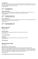#### **Limit Equitation**

Open to all riders who have not won six (6) blue ribbons over fences 2'6" or higher. Open to horses and ponies. Jumps to be set as verticals to oxers and course to be a regular Equitation course. Flat class to be judged at the walk, trot and canter.

Fence Height: 2'3"

# **131,132 Limit Equitation O/F**

#### **133 Limit Equitation Flat**

#### **Child/Adult Equitation**

Open to all Junior and Amateur Riders. Jumps to be set as verticals to oxers and course to be a regular Equitation course. Flat class to be judged at the walk, trot and canter. Fence Height: 2'6"

#### **134,135 Child/Adult Equitation O/F 136 Child/Adult Equitation Flat**

#### **Advanced Equitation**

Open to all Riders. Jumps to be set as verticals to oxers and course to be a regular Equitation course. Flat class to be judged at the walk, trot and canter. Fence Height: 3'

**137,138 Advanced Equitation O/F 3'**

**139 Advanced Equitation Flat**

#### **Medal Classes**

Entry Fee: \$25

#### **INHJA Mini-Medal**

Jumps to be set as a regular medal course. Top four riders to test on the flat. Fence Height: 2'3"

#### **150 INHJA Mini-Medal**

#### **INHJA Medal**

Jumps to be set as a regular medal course. Top four riders to test on the flat. Fence Height: 2'9"

**151 INHJA Medal**

#### **Special Hunter Class**

Entry Fee: \$50

#### **\$500 Maffitt Lake Farms Hunter Derby**

Open to all horses & riders that have shown in two over fence classes in their respective sections. Two Round Classic where both rounds are numerically scored. Second round course to consist of ten jumping efforts (verticals to oxers) and includes the top six horses from Round One to compete in reverse order upon qualifying. *(Fantasy Show Finale only. Must have 6 entries to offer prize money. Ribbons 1-6. Prize Money 1st:50%, 2nd 30%, 3rd 20%)* Fence Height: 2'6"

#### **100 \$500 Maffitt Lake Farms Hunter Derby (Fantasy Show V)**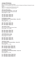#### **Jumper Divisions**

Entry Fee: \$20 per class/\$55 per divison Ribbons 1-6 to be awarded in each class as well as Champion and Reserve Champion for each division. Table II, 2b = Jump off round if first round is clean

Table II, 2.1 = No jump off - timed first round

#### **.65m Cross Rail Jumper**

*(For Starter Combined Riders - Class 198)* Open to all riders. Jumps to be set as x-rails. Fence Height: 2" or .65m

**196 .65m Jumper ( Table II, 2b) 197 .65m Jumper ( Table II, 2b) 198 .65m Jumper ( Table II, 2c)**

**0.75m Beginner Jumper**

*(For Beginner Novice Combined Riders - Class 201)* Open to all riders. Fence Height: 2'5 or 0.75m

**199 .75m Jumper ( Table II, 2b) 200 .75m Jumper ( Table II, 2b) 201 .75m Jumper ( Table II, 2c)**

**.85m Hopeful Jumper** Open to all Junior and Adult Amateur Riders. Fence Height: 2'9" or 0.85m

**202 .85m Jumper ( Table II, 2b) 203 .85m Jumper ( Table II, 2b) 204 .85m Jumper ( Table II, 2c)**

**.95m Modified Open Jumper**

Open to all horses and ponies. Fence Height: 3'1" or 0.95

**205 .95m Jumper ( Table II, 2b) 206 .95m Jumper ( Table II, 2b) 207 .95m Jumper ( Table II, 2.1)**

**1.00m Open Jumper** *(For Training Level Combined Riders - Class 210)* Open to all riders. Fence Height: 3'3" or 1.00m

**208 1.0m Open Jumper ( Table II, 2b) 209 1.0m Open Jumper ( Table II, 2b) 210 1.0m Open Jumper ( Table II, 2.1)**

**1.05m Maffitt Lake Jumper** *(For Preliminary Level Combined Riders - Class 213)* Open to all riders. Fence Height 3'5" or 1.05m

**211 1.05m Open Jumper ( Table II, 2b) 212 1.05m Open Jumper (Table II, 2b) 213 1.05m Open Jumper (Table II 2.1)**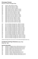#### **Dressage Classes Entry Fee: \$25 per Dressage Class**

- In-Hand Open (JR/YR, AA, Open) USDF Intro Test A (JR/YR, AA, Open) USDF Intro Test B (JR/YR, AA, Open) USDF Intro Test C (JR/YR, AA, Open)
- USDF Training Level Test 1 (JR/YR, AA, Open)
- USDF Training Level Test 2 (JR/YR, AA, Open)
- USDF Training Level Test 3 (JR/YR, AA, Open)
- USDF First Level Test 1(JR/YR, AA, Open)
- USDF First Level Test 2 (JR/YR, AA, Open)
- USDF First Level Test 3 (JR/YR, AA, Open)
- USDF Second Level Test 1(JR/YR, AA, Open)
- USDF Second Level Test 2 (JR/YR, AA, Open)
- USDF Second Level Test 3 (JR/YR, AA, Open)
- USDF Third Level Test 1(JR/YR, AA, Open)
- USDF Third Level Test 2 (JR/YR, AA, Open)
- USDF Third Level Test 3 (JR/YR, AA, Open) USDF Fourth Level Test 1 (JR/YR, AA, Open)
- USDF Fourth Level Test 2 (JR/YR, AA, Open)
- 
- USDF Fourth Level Test 3 (JR/YR, AA, Open)
- Intro Level Western Dressage Test 1 (JR/YR, AA, Open)
- 320 Intro Level Western Dressage Test 2 (JR/YR, AA, Open)<br>321 Intro Level Western Dressage Test 3 (JR/YR, AA, Open)
- 321 Intro Level Western Dressage Test 3 (JR/YR, AA, Open)<br>322 Intro Level Western Dressage Test 4 (JR/YR, AA, Open)
- Intro Level Western Dressage Test 4 (JR/YR, AA, Open) Basic Level Western Dressage Test 1 (JR/YR, AA, Open)
- 
- Basic Level Western Dressage Test 2 (JR/YR, AA, Open) Basic Level Western Dressage Test 3 (JR/YR, AA, Open)
- Basic Level Western Dressage Test 4 (JR/YR, AA, Open)
- First Level Western Dressage Test 1 (JR/YR, AA, Open)
- First Level Western Dressage Test 2 (JR/YR, AA, Open)
- First Level Western Dressage Test 3 (JR/YR, AA, Open)
- First Level Western Dressage Test 4 (JR/YR, AA, Open)
- Second Level Western Dressage Test 1 (JR/YR, AA, Open)
- Second Level Western Dressage Test 2 (JR/YR, AA, Open) Second Level Western Dressage Test 3 (JR/YR, AA, Open)
- Second Level Western Dressage Test 4 (JR/YR, AA, Open)

(Western Dressage tests may be found on www.westerndressageassociation.org

#### **Combined Training Classes(Sundays Only) Entry Fee: \$40**

#### **Dressage Class Number**

| 335 | Combined - Pre-Beginner Novice: BN Test A/Jumps up to 2'    |
|-----|-------------------------------------------------------------|
| 336 | Combined - Pre-Beginner Novice: BN Test B/Jumps up to 2'    |
| 337 | Combined - Beginner Novice: BN Test A/Jumps up to 2'6"      |
| 338 | Combined - Beginner Novice: BN Test B/Jumps up to 2'6"      |
| 339 | Combined - Novice: Novice Test A/Jumps up to 3'             |
| 340 | Combined - Novice: Novice Test B/Jumps up to 3'             |
| 341 | Combined - Training: Training Test A/Jumps up to 3'3"       |
| 342 | Combined - Training: Training Test B/Jumps up to 3'3"       |
| 343 | Combined - Preliminary" Preliminary Test A/Jumps up to 3'6" |
| 344 | Combined - Preliminary" Preliminary Test B/Iumns up to 3'6" |

Combined - Preliminary" Preliminary Test B/Jumps up to 3'6"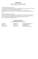### **Directions**

Directions to Maffitt Lake Equestrian Center 3297 105th Street Cumming, Iowa 50061

#### *Trailer/Camper Entrance From North*

I-35 South through Des Moines. Exit 65 for Cumming/Norwalk. Turn right/west on the Cumming Road and travel 1.5 miles. Turn right/north on Woodland

Avenue (Street sign is on south side of Cumming Road). Travel 1.5 miles north on Woodland Avenue. Entrance to facility is on the north corner of 105th Street and Woodland Avenue.

io

#### *Trailer/Camper Entrance From South*

I-35 North. Exit 65 for Cumming/Norwalk. Turn left/west on the Cumming Road and travel 1.5 miles. Turn right/north on Woodland Avenue (Street sign is on south side of Cumming Road). Travel 1.5 miles north on Woodland Avenue. Entrance to facility is on the north corner of 105th Street and Woodland Avenue.

#### **Contact Information**

#### *www.maffittlakeequestriancenter.com*

Timmy Hott 352-895-1701 hotthorseshows@gmail.com Libby Hott 515-306-1140 libbyhott@gmail.com 515-778-1147 mgajwf@aol.com Anne Sushko 563- 580-0510 gandasushko@hotmail.com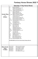# **Fantasy Horse Shows 2022 To**

|                                              | <b>Saturday (1 Day Horse Show)</b>                                                                                                                                                                                                                                                                                                                                                                                                                                                                                                                                                                                                                                                                                                                                                                                                                                                                                                                                                                                                                                                                                                                                                                                                                                                                                                                                                        |
|----------------------------------------------|-------------------------------------------------------------------------------------------------------------------------------------------------------------------------------------------------------------------------------------------------------------------------------------------------------------------------------------------------------------------------------------------------------------------------------------------------------------------------------------------------------------------------------------------------------------------------------------------------------------------------------------------------------------------------------------------------------------------------------------------------------------------------------------------------------------------------------------------------------------------------------------------------------------------------------------------------------------------------------------------------------------------------------------------------------------------------------------------------------------------------------------------------------------------------------------------------------------------------------------------------------------------------------------------------------------------------------------------------------------------------------------------|
| <b>Hunter Ring</b><br>2<br>9:00am            | 120<br><b>Leadline Equitation</b><br>Fantasy Hunter Walk/Trot U/S<br>З<br>124<br><b>Walk/Trot Equitation Flat</b><br>1,2<br><b>Fantasy Hunter Walk/Trot Poles</b><br>122,123<br><b>Walk/Trot Equitation Poles</b><br>Beginner Rider U/S<br>6<br>127<br><b>Beginner Equitation Flat</b><br>4,5<br>Beginner Rider Cross Rails<br>125, 126 Beginner Equitation Cross Rails<br>7,8<br>Training Hunter Cross Rails 2'<br>9<br>Training Hunter U/S<br>12<br>Short/Long Stirrup Hunter U/S<br>130<br>Short/Long Stirrup Equitation Flat<br>10, 11<br>Short/Long Stirrup Hunter 2'<br>128,129<br>Short/Long Stirrup Equitation O/F 2'<br>15<br>Limit Hunter U/S<br>133<br><b>Limit Equitation Flat</b><br>13,14<br>Limit Rider O/F 2'3"<br>131,132 Limit Equitation O/F 2'3"<br>150<br>Mini INHJA Medal<br>16,17<br>Green Hunter 2'3"<br>18<br>Green Hunter U/S<br>21<br>Child/Adult Hunter U/S<br>136<br><b>Child/Adult Equitation Flat</b><br>19,20<br>Child/Adult Hunter 2'6"<br>134,135<br>Child/Adult Equitation O/F 2'6"<br>22,23<br>Low Hunter 2'6"<br>24<br>Low Hunter U/S<br>27<br>Modified Hunter U/S<br>25,26<br>Modified Hunter O/F 2'9"<br>151<br>INHJA Medal 2'9"<br>28,29<br>Open Working Hunter 3'<br>30<br>Open Working Hunter U/S<br>139<br><b>Advanced Equitation Flat</b><br>137,138 Advanced Equitation O/F 3'<br>100 \$500 Maffitt Lake Farms Hunter Derby (Fantasy Show V) |
| <b>Main Hunter</b><br><b>Ring</b><br>11:00am | 196,197,198<br>0.65m Cross Rail Jumpers<br>199,200,201<br>0.75m Beginner Jumpers<br>202,203,204<br>0.85m Hopeful Jumpers<br>205,206,207<br>0.95m Modifed Jumpers<br>1.00m Open Jumper<br>208,209,210<br>1.05m Maffitt Lake Jumper<br>211,212,213                                                                                                                                                                                                                                                                                                                                                                                                                                                                                                                                                                                                                                                                                                                                                                                                                                                                                                                                                                                                                                                                                                                                          |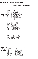# **entative H/J Show Schedule**

|                                                | <b>Sunday (1 Day Horse Show)</b>                                                                                                                                                                                                                                                                                                                                                                                                                                                                                                                                                                                                                                                                                                                                                                                                                                                                                                                                                                                                                                                                                                                                                                                                                                                                                |
|------------------------------------------------|-----------------------------------------------------------------------------------------------------------------------------------------------------------------------------------------------------------------------------------------------------------------------------------------------------------------------------------------------------------------------------------------------------------------------------------------------------------------------------------------------------------------------------------------------------------------------------------------------------------------------------------------------------------------------------------------------------------------------------------------------------------------------------------------------------------------------------------------------------------------------------------------------------------------------------------------------------------------------------------------------------------------------------------------------------------------------------------------------------------------------------------------------------------------------------------------------------------------------------------------------------------------------------------------------------------------|
|                                                |                                                                                                                                                                                                                                                                                                                                                                                                                                                                                                                                                                                                                                                                                                                                                                                                                                                                                                                                                                                                                                                                                                                                                                                                                                                                                                                 |
| <b>Hunter Ring</b><br>$\overline{2}$<br>9:00am | Leadline Equitation<br>120<br>Fantasy Hunter Walk/Trot U/S<br>3<br>124<br><b>Walk/Trot Equitation Flat</b><br>1,2<br>Fantasy Hunter Walk/Trot Poles<br>122,123<br><b>Walk/Trot Equitation Poles</b><br>Beginner Rider U/S<br>6<br>127<br><b>Beginner Equitation Flat</b><br>4,5<br>Beginner Rider Cross Rails<br>125, 126 Beginner Equitation Cross Rails<br>7,8<br>Training Hunter Cross Rails 2'<br>Training Hunter U/S<br>9<br>12<br>Short/Long Stirrup Hunter U/S<br>130<br>Short/Long Stirrup Equitation Flat<br>10,11<br>Short/Long Stirrup Hunter 2'<br>128,129<br>Short/Long Stirrup Equitation O/F 2'<br>15<br>Limit Hunter U/S<br>133<br><b>Limit Equitation Flat</b><br>13,14<br>Limit Rider O/F 2'3"<br>131,132<br>Limit Equitation O/F 2'3"<br>150<br>Mini INHJA Medal<br>16,17<br>Green Hunter 2'3"<br>18<br>Green Hunter U/S<br>21<br>Child/Adult Hunter U/S<br>136<br><b>Child/Adult Equitation Flat</b><br>19,20<br>Child/Adult Hunter 2'6"<br>134,135<br>Child/Adult Equitation O/F 2'6"<br>22,23<br>Low Hunter 2'6"<br>24<br>Low Hunter U/S<br>27<br>Modified Hunter U/S<br>25,26<br>Modified Hunter O/F 2'9"<br>151<br>INHJA Medal 2'9"<br>28,29<br>Open Working Hunter 3'<br>Open Working Hunter U/S<br>30<br>139<br><b>Advanced Equitation Flat</b><br>137,138 Advanced Equitation O/F 3' |
| <b>Main Hunter</b><br>Ring<br>11:00am          | 0.65m Starter Level CT<br>198.1<br>196, 197, 198<br>0.65m Cross Rail Jumpers<br>201.1<br>0.75 Beginner Novice Level CT<br>199,200,201<br>0.75m Beginner Jumpers<br>204.1<br>0.85m Novice Level CT<br>202,203,204<br>0.85m Hopeful Jumpers<br>0.95m Modifed Jumpers<br>205,206,207<br>1.0m Training Level CT<br>210.1<br>208,209,210<br>1.00m Open Jumper<br>213.1<br>1.05m Preliminary Level CT<br>1.05m Maffitt Lake Jumper<br>211,212,213                                                                                                                                                                                                                                                                                                                                                                                                                                                                                                                                                                                                                                                                                                                                                                                                                                                                     |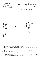

#### Make Checks Payable to : Maffitt Lake Equestrian Center, LLC (MLEC) MAIL TO: 3297 105th Street Cumming, Iowa 50061 PHONE: 515-981-1699 FAX: 515-981-1698 NO FAXED ENTRIES!!!

|                  | Name of Horse                                                |         | <b>SEX</b>                             | <b>COLOR</b>                                                   |  |
|------------------|--------------------------------------------------------------|---------|----------------------------------------|----------------------------------------------------------------|--|
|                  |                                                              |         |                                        |                                                                |  |
|                  | <b>Classes Entered</b>                                       |         | Name of Rider                          |                                                                |  |
|                  |                                                              |         |                                        |                                                                |  |
|                  |                                                              |         |                                        |                                                                |  |
| ∼<br><b>SMMC</b> | Print Name: <u>Cambridge Communication</u><br>Telephone: ( ) | TRAINER |                                        | Signature:<br>Print Name:<br>City:<br>Telephone: ()<br>E-Mail: |  |
| #<br>RIDER       |                                                              | ARENT   | Signature:<br>Telephone: ()<br>E-Mail: | Print Name:<br>City:                                           |  |

#### Federation release, assumption of risk, Waiver, and indemnification This document waives important legal rights. read it carefully before signing.

I AGREE in consideration for my participation in this Competition to the following:

I AGREE that the "Competition" as used herein includes the Competition Management, as well as all of their officials, officers, directors, employees, agents, personnel, and volunteers.

I AGREE that I choose to participate voluntarily in the Competition with my horse, as a rider, driver, handler, vaulter, longeur, lessee, own parent or guardian of a junior exhibitor. I am fully aware and acknowledge that horse sports and the Competition involve inherent danger I AGREE to hold harmless and release the Competition from all claims for money damages or otherwise for any Harm to me or my horse gence of theFederation or the Competition.

I AGREE to indemnify (that is, to pay any losses, damages, or costs incurred by) the Federation and the Competition and to hold them ha the Competition. If I am a parent or guardian of a junior exhibitor, I consent to the child's participation and AGREE to all of the above pr ing and abilities to safely compete in this competition.

BY SIGNING ABOVE, I AGREE to be bound by all terms and provisions of this entry blank and all terms and provisions of this Prize I force and effect as if I affixed my signature by my own hand. BOD Effective 12/1/13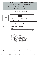# 2022 FANTASY SCHOOLING SHOW Hunter/Jumper Entry Form Saturday/Sunday (circle one or both) I II III IV V VI

| <b>HEIGHT</b><br><b>AGE</b>              | Please stable with: (Trainer's Name)                                                                                                                                                                                                                                                                                                                                       |                                                        |
|------------------------------------------|----------------------------------------------------------------------------------------------------------------------------------------------------------------------------------------------------------------------------------------------------------------------------------------------------------------------------------------------------------------------------|--------------------------------------------------------|
| <b>INHJA</b> Member<br>Age<br>$Y$ or $N$ | Circle One:                                                                                                                                                                                                                                                                                                                                                                |                                                        |
|                                          | <b>AMEX</b><br><b>VISA</b><br><b>DISC</b><br>MC                                                                                                                                                                                                                                                                                                                            | 3% Charge for CC's                                     |
|                                          |                                                                                                                                                                                                                                                                                                                                                                            |                                                        |
| Zip Code:                                | EXP.<br>CVC#<br>Cardholder's Name as it Appears on Card<br>Signature                                                                                                                                                                                                                                                                                                       | Month/Year                                             |
|                                          | Street/P.O. Box                                                                                                                                                                                                                                                                                                                                                            | City/State/Zip                                         |
| Zip Code:                                | Stall Fee @ \$35 per DAY or \$90 (Fri-Sun)<br>Bedding @ \$10.00<br>Office Fee @ \$15<br>Weekend Paddock Fee @ \$75<br>Non Showing Horse Fee \$25<br>Grounds Fee for Non Stabled Horse @ \$25<br>Sponsorship Camper Parking @ \$40 per night<br>Late Fee (Entries not in by Friday) @ \$10<br>Fantasy Shows Year End Membership Fee @\$25<br>(Membership is a one time fee) | $\overline{a}$<br><u>.</u><br>$\overline{\phantom{a}}$ |

ner, agent, coach,trainer, or as

p ous risks of accident, loss,and serious bodily injury including broken bones, head injuries, trauma, pain, suffering, or death. ("Harm"). and for any Harm of any nature caused by me or my horse to others, even if the Harm arises or results, directly or indirectly, from the negli-

armless with respect to claims forHarm to me or my horse, and for claims made by others for any Harm caused by me or my horse while at t ovisions and AGREE to assume all of the obligations of this Release on the child's behalf I represent that I have the requisite training, coach-

List. If I am signing and submitting this Agreement electronically, I acknowledge that my electronic signature shall have the same validity,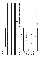| 2022                                    |                  |                                |                                    |                              |                                         |                           | Official Use Only<br>BRIDLE # |          |
|-----------------------------------------|------------------|--------------------------------|------------------------------------|------------------------------|-----------------------------------------|---------------------------|-------------------------------|----------|
| <b>COMPETITION NAME</b>                 |                  |                                |                                    | <b>COMPETITION DATES</b>     |                                         |                           |                               |          |
|                                         | NAME OF HORSE    |                                | PREVIOUS NAME (IF ANY)             |                              | USEF#                                   | USDF#                     |                               | For SALE |
|                                         |                  |                                |                                    |                              |                                         |                           |                               |          |
| <b>SEX</b><br>BREED                     | HEIGHT           |                                | COLOR COGGINS DATE (ENCLOSED COPY) |                              | SIRE                                    |                           | DAM                           |          |
|                                         |                  |                                |                                    |                              |                                         |                           |                               |          |
| DAM'S SIRE                              | COUNTRY OF BIRTH | YEAR OF BIRTH                  | <b>BREEDER</b>                     |                              | FEI/PASSPORT#                           |                           | GROOM                         |          |
| <b>RIDER/HANDLER</b>                    |                  |                                |                                    | <b>DIVISION</b><br>CLASS No. |                                         | <b>CLASS DESCRIPTION</b>  | QUAL Y/N                      | FEES     |
| USEF#                                   | USDF#            | FEI/LOCAL#                     |                                    |                              |                                         |                           |                               |          |
| ADDRESS                                 |                  |                                |                                    |                              |                                         |                           |                               |          |
| $C\text{Tr}\sqrt{S}\text{T}/\text{ZIP}$ |                  |                                |                                    |                              |                                         |                           |                               |          |
| CELL PHONE                              |                  | <b>JR/YOUNG RIDER BIRTHDAY</b> |                                    |                              |                                         |                           |                               |          |
| EMAIL ADDRESS                           |                  |                                |                                    |                              |                                         |                           |                               |          |
| RIDER CITIZENSHIP (IF NOT USA)          |                  |                                |                                    |                              |                                         |                           |                               |          |
| RIDER STATUS (GROLE ONE).               | <b>JRYYG</b>     | ₹                              | OPEN                               |                              |                                         |                           |                               |          |
| <b>OWNER</b>                            |                  |                                |                                    |                              |                                         |                           |                               |          |
| USEF#                                   | uspr#            | LOCAL#                         |                                    |                              | SUBTOTAL CLASS FEES AND QUALIFYING FEES |                           |                               |          |
| ADDRESS                                 |                  |                                |                                    | USEF Show Pass FEES          |                                         | <b>S45</b> PER NON-MEMBER |                               |          |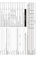| C <sub>ITY</sub> /ST/ZIP                                                                                                            | USDF NON MEMBER FEE \$35 PER NON-MEMBER                |  |
|-------------------------------------------------------------------------------------------------------------------------------------|--------------------------------------------------------|--|
| CELL PHONE                                                                                                                          | OFFICE FEE AND/OR BRIDLE # FEE                         |  |
| EMAIL ADDRESS                                                                                                                       | USEF HORSE FEES                                        |  |
| OWNER CITIZENSHIP (IF NOT USA)                                                                                                      | \$8 USEF FEE + \$15 DRug FEE = \$23.00                 |  |
|                                                                                                                                     | <b>CDI HORSE FEES</b>                                  |  |
| <b>TRAINER</b>                                                                                                                      | \$8 USEF FEE + \$ 25 DRUG FEE = \$33.00                |  |
| LOCAL#<br>$\frac{1}{4}$ and $\frac{1}{4}$<br>USEF#                                                                                  | IHP DISCIPLINE FEE (\$35 IF REQUIRED)                  |  |
| ADDRESS                                                                                                                             | <b>STALL</b><br>S <sub>TALL</sub> @ 1<br>STABLING FEES |  |
| $C\text{ITV}/S\text{T}/\text{ZIP}$                                                                                                  | /STALL<br>$S$ TALL $@$ \$<br><b>TACK STALLS</b>        |  |
| CELL PHONE                                                                                                                          | /B <sub>ALE</sub><br>BALES @ \$<br><b>BEDDING</b>      |  |
| EMAIL ADDRESS                                                                                                                       | NON COMPETING HORSE FEE                                |  |
| COACH                                                                                                                               | SPONSORSHIP                                            |  |
| LOCAL#<br>$\frac{1}{4}$<br>USEF#                                                                                                    | GROUNDS FEE OR OTHER FEES                              |  |
| <b>ADDRESS</b>                                                                                                                      | <b>OTHER</b>                                           |  |
| $Cl TY/ST/ZlP$                                                                                                                      | LATE/CHANGE/BANK CHARGES FOR CC                        |  |
| Please complete all three pages. Reverse MUST be SIGNED.                                                                            | <b>TOTAL FEES</b>                                      |  |
| Stabling Information & Special Requests: please list only ONE name/either individual or harm for entire consumeration can concerned |                                                        |  |

| iON & Special Requests: Please list only ONE name (either individual or barn) for entire group (so we can get everyone together)<br>Stabling Informat |     |          |     |               |           |     |
|-------------------------------------------------------------------------------------------------------------------------------------------------------|-----|----------|-----|---------------|-----------|-----|
| Group/Self                                                                                                                                            | Tue | Wed<br>  | Thu | $\frac{1}{2}$ | Sat   Sun | Mon |
| <b>Stalls</b>                                                                                                                                         |     |          |     |               |           |     |
| Tack Stalls                                                                                                                                           |     |          |     |               |           |     |
| Stable Group:                                                                                                                                         |     | Contact: |     |               |           |     |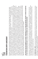

# **FEDERATION ENTRY AGREEMENT** FEDERATION ENTRY AGREEMENT

bound by the Bylaws and Rules of the Federation and of the competition. I will accept as final the decision of the Hearing Committee on any question arising bound by the Bylaws and Rules of the Federation and of the competition. I will accept as final the decision of the Hearing Committee on any question arising to jeopardize amateur status. I hereby expressly and irrevocably waive and release any rights in connection with such use, including any claim to compensation, invasion of privacy, right of publicity, or to misappropriation. The construction and application of Federation rules are governed by the laws of the State to jeopardize amateur status. I hereby expressly and irrevocably waive and release any rights in connection with such use, including any claim to compensation, invasion of privacy, right of publicity, or to misappropriation. The construction and application of Federation rules are governed by the laws of the State the Rules. I represent that I am eligible to enter and/or participate under the Rules, and every horse I am entering is eligible as entered. I also agree that as under the Rules, and agree to release and hold harmless the competition, the Federation, their officials, directors and employees for any action taken under under the Rules, and agree to release and hold harmless the competition, the Federation, their officials, directors and employees for any action taken under the Rules. I represent that I am eligible to enter and/or participate under the Rules, and every horse I am entering is eligible as entered. I also agree that as casts, broadcasts, internet, film, new media or other likenesses of me and my horse taken during the course of the competition for the promotion, coverage or benefit of the competition, sport, or the Federation. Those likenesses shall not be used to advertise a product and they may not be used in such a way as casts, broadcasts, internet, film, new media or other likenesses of me and my horse taken during the course of the competition for the promotion, coverage or benefit of the competition, sport, or the Federation. Those likenesses shall not be used to advertise a product and they may not be used in such a way as (Competition). I agree to be of The United States Equestrian Federation, Inc. (the "Federation") and the local rules of \_\_\_\_\_\_\_\_\_\_\_\_\_\_\_\_\_\_\_\_\_\_\_\_\_\_(Competition). I agree to be a condition of and in consideration of acceptance of entry, the Federation and/or the Competition may use or assign photographs, videos, audios, cable-Vaulter or Longeur and on behalf of myself and my principals, representatives, employees and agents, I agree that I am subject to the Bylaws and Rules condition of and in consideration of acceptance of entry, the Federation and/or the Competition may use or assign photographs, videos, audios, cable - By entering a Federation-licensed Competition and signing this entry blank as the Owner, Lessee, Trainer, Manager, Agent, Coach, Driver, Rider, Handler, By entering a Federation-licensed Competition and signing this entry blank as the Owner, Lessee, Trainer, Manager, Agent, Coach, Driver, Rider, Handler, Vaulter or Longeur and on behalf of myself and my principals, representatives, employees and agents, I agree that I am subject to the Bylaws and Rules of New York, and any action instituted against the Federation must be filed in New York State. See GR908.4. of New York, and any action instituted against the Federation must be filed in New York State. See GR908.4. of The United States Equestrian Federation, Inc. (the "Federation") and the local rules of

# I HAVE CAREFULLY READ THIS DOCUMENT IN ITS ENTIRETY, UNDERSTAND ALL OF ITS TERMS AND CONDITIONS, AND KNOW IT CONTAINS AN ASSUMPTION HAVE CAREFULLY READ THIS DOCUMENT IN ITS ENTIRETY, UNDERSTAND ALL OF ITS TERMS AND CONDITIONS, AND KNOW IT CONTAINS AN ASSUMPTION OF RISK, RELEASE AND WAIVER FROM LIABILITY, AS WELL AS A HOLD HARMLESS AND INDEMNIFICATION OBLIGATIONS. OF RISK, RELEASE AND WAIVER FROM LIABILITY, AS WELL AS A HOLD HARMLESS AND INDEMNIFICATION OBLIGATIONS.

tions of this Agreement in connection with my (or the minor's) participation in any USEF Event. If, despite this Agreement, I, or anyone on my behalf or the tions of this Agreement in connection with my (or the minor's) participation in any USEF Event. If, despite this Agreement, I, or anyone on my behalf or the minor's behalf, makes a claim for Liability against any of the Released Parties, I will indemnify, defend and hold harmless each of the Released Parties minor's behalf, makes a claim for Liability against any of the Released Parties, I will indemnify, defend and hold harmless each of the Released Parties By signing below, I (as the participant or as the Parent/Legal Guardian of the minor identified below) hereby accept and agree to the terms and condi-By signing below, I (as the participant or as the Parent/Legal Guardian of the minor identified below) hereby accept and agree to the terms and condifrom any such Liabilities as the result of such claim. from any such Liabilities as the result of such claim.

BY SIGNING BELOW, I AGREE to be bound by all applicable Federation Rules and all terms and provisions of this entry blank and all terms and provisions BY SIGNING BELOW, I AGREE to be bound by all applicable Federation Rules and all terms and provisions of this entry blank and all terms and provisions of this Prize List. If I am signing and submitting this Agreement electronically, I acknowledge that my electronic signature shall have the same validity, of this Prize List. If I am signing and submitting this Agreement electronically, I acknowledge that my electronic signature shall have the same validity, force and effect as if I affixed my signature hy my own hand force and effect as if I affixed my signature by my own hand.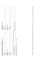| RIDER/DRIVER/HANDLER/VAULTER/LONGEUR (mandatory)                                         | <b>OWNER/AGENT</b> (mandatory) |
|------------------------------------------------------------------------------------------|--------------------------------|
| Signature:                                                                               | Signature:                     |
| Print Name:                                                                              | Print Name:                    |
| <b>TRAINER</b> (mandatory)                                                               | <b>COACH</b> (mandatory)       |
| Signature:                                                                               | Signature:                     |
| Print Name:                                                                              | Print Name:                    |
| Parent/Guardian Signature: (Required if Rider/Driver/Handler/Vaulter/Longeur is a minor) |                                |
| Print Parent//Guardian Name:                                                             | Emergency Contact Phone No.    |
| Is Rider/Driver/Vaulter a U.S. Citizen: __Yes __ No                                      |                                |
|                                                                                          |                                |

UNITED STATES EQUESTRIAN FEDERATION : 4001 WING COMMANDER WAY : LEXINGTON, KY 40511 : 859.258.2472 : FAX 859.231.6662 : USEF.ORG UNITED STATES EQUESTRIAN FEDERATION : 4001 WING COMMANDER WAY : LEXINGTON, KY 40511 : 859.258.2472 : FAX 859.231.6662 : USEF.ORG